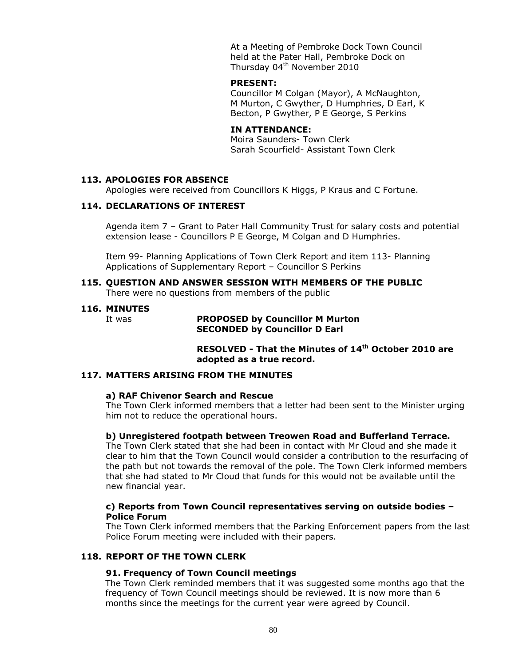At a Meeting of Pembroke Dock Town Council held at the Pater Hall, Pembroke Dock on Thursday 04<sup>th</sup> November 2010

#### **PRESENT:**

Councillor M Colgan (Mayor), A McNaughton, M Murton, C Gwyther, D Humphries, D Earl, K Becton, P Gwyther, P E George, S Perkins

### **IN ATTENDANCE:**

Moira Saunders- Town Clerk Sarah Scourfield- Assistant Town Clerk

#### **113. APOLOGIES FOR ABSENCE**

Apologies were received from Councillors K Higgs, P Kraus and C Fortune.

#### **114. DECLARATIONS OF INTEREST**

Agenda item 7 – Grant to Pater Hall Community Trust for salary costs and potential extension lease - Councillors P E George, M Colgan and D Humphries.

Item 99- Planning Applications of Town Clerk Report and item 113- Planning Applications of Supplementary Report – Councillor S Perkins

#### **115. QUESTION AND ANSWER SESSION WITH MEMBERS OF THE PUBLIC** There were no questions from members of the public

#### **116. MINUTES**

#### It was **PROPOSED by Councillor M Murton SECONDED by Councillor D Earl**

**RESOLVED - That the Minutes of 14th October 2010 are adopted as a true record.**

#### **117. MATTERS ARISING FROM THE MINUTES**

#### **a) RAF Chivenor Search and Rescue**

The Town Clerk informed members that a letter had been sent to the Minister urging him not to reduce the operational hours.

#### **b) Unregistered footpath between Treowen Road and Bufferland Terrace.**

The Town Clerk stated that she had been in contact with Mr Cloud and she made it clear to him that the Town Council would consider a contribution to the resurfacing of the path but not towards the removal of the pole. The Town Clerk informed members that she had stated to Mr Cloud that funds for this would not be available until the new financial year.

#### **c) Reports from Town Council representatives serving on outside bodies – Police Forum**

The Town Clerk informed members that the Parking Enforcement papers from the last Police Forum meeting were included with their papers.

### **118. REPORT OF THE TOWN CLERK**

#### **91. Frequency of Town Council meetings**

The Town Clerk reminded members that it was suggested some months ago that the frequency of Town Council meetings should be reviewed. It is now more than 6 months since the meetings for the current year were agreed by Council.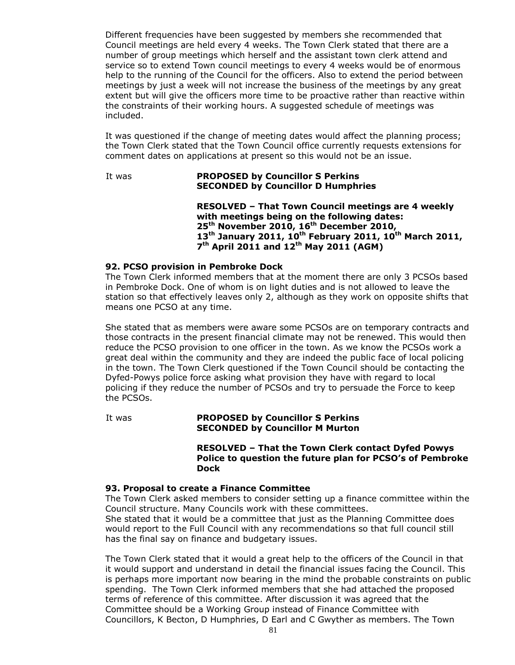Different frequencies have been suggested by members she recommended that Council meetings are held every 4 weeks. The Town Clerk stated that there are a number of group meetings which herself and the assistant town clerk attend and service so to extend Town council meetings to every 4 weeks would be of enormous help to the running of the Council for the officers. Also to extend the period between meetings by just a week will not increase the business of the meetings by any great extent but will give the officers more time to be proactive rather than reactive within the constraints of their working hours. A suggested schedule of meetings was included.

It was questioned if the change of meeting dates would affect the planning process; the Town Clerk stated that the Town Council office currently requests extensions for comment dates on applications at present so this would not be an issue.

#### It was **PROPOSED by Councillor S Perkins SECONDED by Councillor D Humphries**

**RESOLVED – That Town Council meetings are 4 weekly with meetings being on the following dates: 25th November 2010, 16th December 2010, 13th January 2011, 10th February 2011, 10th March 2011, 7 th April 2011 and 12th May 2011 (AGM)**

### **92. PCSO provision in Pembroke Dock**

The Town Clerk informed members that at the moment there are only 3 PCSOs based in Pembroke Dock. One of whom is on light duties and is not allowed to leave the station so that effectively leaves only 2, although as they work on opposite shifts that means one PCSO at any time.

She stated that as members were aware some PCSOs are on temporary contracts and those contracts in the present financial climate may not be renewed. This would then reduce the PCSO provision to one officer in the town. As we know the PCSOs work a great deal within the community and they are indeed the public face of local policing in the town. The Town Clerk questioned if the Town Council should be contacting the Dyfed-Powys police force asking what provision they have with regard to local policing if they reduce the number of PCSOs and try to persuade the Force to keep the PCSOs.

#### It was **PROPOSED by Councillor S Perkins SECONDED by Councillor M Murton**

#### **RESOLVED – That the Town Clerk contact Dyfed Powys Police to question the future plan for PCSO's of Pembroke Dock**

### **93. Proposal to create a Finance Committee**

The Town Clerk asked members to consider setting up a finance committee within the Council structure. Many Councils work with these committees.

She stated that it would be a committee that just as the Planning Committee does would report to the Full Council with any recommendations so that full council still has the final say on finance and budgetary issues.

The Town Clerk stated that it would a great help to the officers of the Council in that it would support and understand in detail the financial issues facing the Council. This is perhaps more important now bearing in the mind the probable constraints on public spending. The Town Clerk informed members that she had attached the proposed terms of reference of this committee. After discussion it was agreed that the Committee should be a Working Group instead of Finance Committee with Councillors, K Becton, D Humphries, D Earl and C Gwyther as members. The Town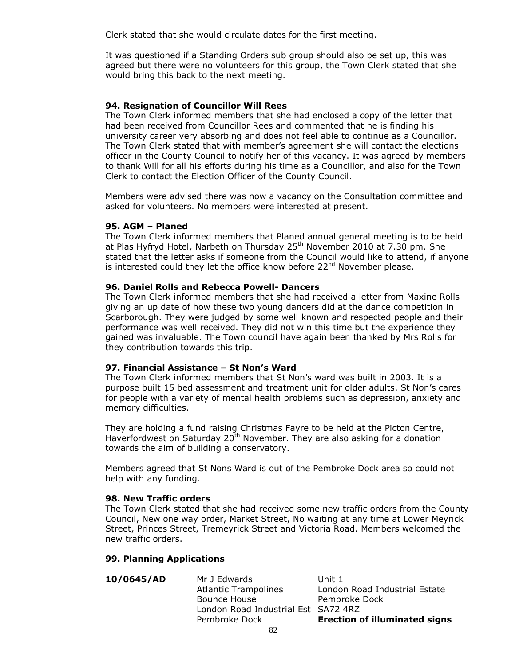Clerk stated that she would circulate dates for the first meeting.

It was questioned if a Standing Orders sub group should also be set up, this was agreed but there were no volunteers for this group, the Town Clerk stated that she would bring this back to the next meeting.

### **94. Resignation of Councillor Will Rees**

The Town Clerk informed members that she had enclosed a copy of the letter that had been received from Councillor Rees and commented that he is finding his university career very absorbing and does not feel able to continue as a Councillor. The Town Clerk stated that with member's agreement she will contact the elections officer in the County Council to notify her of this vacancy. It was agreed by members to thank Will for all his efforts during his time as a Councillor, and also for the Town Clerk to contact the Election Officer of the County Council.

Members were advised there was now a vacancy on the Consultation committee and asked for volunteers. No members were interested at present.

#### **95. AGM – Planed**

The Town Clerk informed members that Planed annual general meeting is to be held at Plas Hyfryd Hotel, Narbeth on Thursday 25<sup>th</sup> November 2010 at 7.30 pm. She stated that the letter asks if someone from the Council would like to attend, if anyone is interested could they let the office know before 22<sup>nd</sup> November please.

#### **96. Daniel Rolls and Rebecca Powell- Dancers**

The Town Clerk informed members that she had received a letter from Maxine Rolls giving an up date of how these two young dancers did at the dance competition in Scarborough. They were judged by some well known and respected people and their performance was well received. They did not win this time but the experience they gained was invaluable. The Town council have again been thanked by Mrs Rolls for they contribution towards this trip.

#### **97. Financial Assistance – St Non's Ward**

The Town Clerk informed members that St Non's ward was built in 2003. It is a purpose built 15 bed assessment and treatment unit for older adults. St Non's cares for people with a variety of mental health problems such as depression, anxiety and memory difficulties.

They are holding a fund raising Christmas Fayre to be held at the Picton Centre, Haverfordwest on Saturday 20<sup>th</sup> November. They are also asking for a donation towards the aim of building a conservatory.

Members agreed that St Nons Ward is out of the Pembroke Dock area so could not help with any funding.

#### **98. New Traffic orders**

The Town Clerk stated that she had received some new traffic orders from the County Council, New one way order, Market Street, No waiting at any time at Lower Meyrick Street, Princes Street, Tremeyrick Street and Victoria Road. Members welcomed the new traffic orders.

#### **99. Planning Applications**

| 10/0645/AD | Mr J Edwards                        | Unit 1                               |
|------------|-------------------------------------|--------------------------------------|
|            | <b>Atlantic Trampolines</b>         | London Road Industrial Estate        |
|            | Bounce House                        | Pembroke Dock                        |
|            | London Road Industrial Est SA72 4RZ |                                      |
|            | Pembroke Dock                       | <b>Erection of illuminated signs</b> |
|            |                                     |                                      |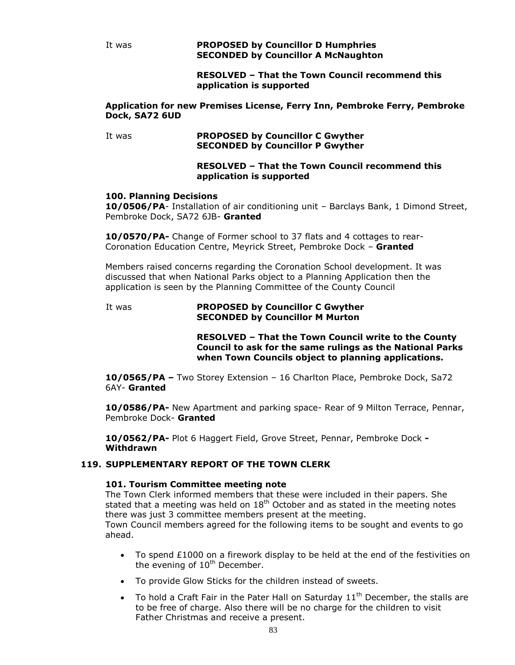It was **PROPOSED by Councillor D Humphries SECONDED by Councillor A McNaughton**

> **RESOLVED – That the Town Council recommend this application is supported**

#### **Application for new Premises License, Ferry Inn, Pembroke Ferry, Pembroke Dock, SA72 6UD**

#### It was **PROPOSED by Councillor C Gwyther SECONDED by Councillor P Gwyther**

### **RESOLVED – That the Town Council recommend this application is supported**

# **100. Planning Decisions**

**10/0506/PA**- Installation of air conditioning unit – Barclays Bank, 1 Dimond Street, Pembroke Dock, SA72 6JB- **Granted**

**10/0570/PA-** Change of Former school to 37 flats and 4 cottages to rear-Coronation Education Centre, Meyrick Street, Pembroke Dock – **Granted**

Members raised concerns regarding the Coronation School development. It was discussed that when National Parks object to a Planning Application then the application is seen by the Planning Committee of the County Council

#### It was **PROPOSED by Councillor C Gwyther SECONDED by Councillor M Murton**

**RESOLVED – That the Town Council write to the County Council to ask for the same rulings as the National Parks when Town Councils object to planning applications.**

**10/0565/PA –** Two Storey Extension – 16 Charlton Place, Pembroke Dock, Sa72 6AY- **Granted**

**10/0586/PA-** New Apartment and parking space- Rear of 9 Milton Terrace, Pennar, Pembroke Dock- **Granted**

**10/0562/PA-** Plot 6 Haggert Field, Grove Street, Pennar, Pembroke Dock **- Withdrawn**

### **119. SUPPLEMENTARY REPORT OF THE TOWN CLERK**

### **101. Tourism Committee meeting note**

The Town Clerk informed members that these were included in their papers. She stated that a meeting was held on  $18<sup>th</sup>$  October and as stated in the meeting notes there was just 3 committee members present at the meeting. Town Council members agreed for the following items to be sought and events to go ahead.

- $\bullet$  To spend £1000 on a firework display to be held at the end of the festivities on the evening of  $10<sup>th</sup>$  December.
- To provide Glow Sticks for the children instead of sweets.
- $\bullet$  To hold a Craft Fair in the Pater Hall on Saturday  $11<sup>th</sup>$  December, the stalls are to be free of charge. Also there will be no charge for the children to visit Father Christmas and receive a present.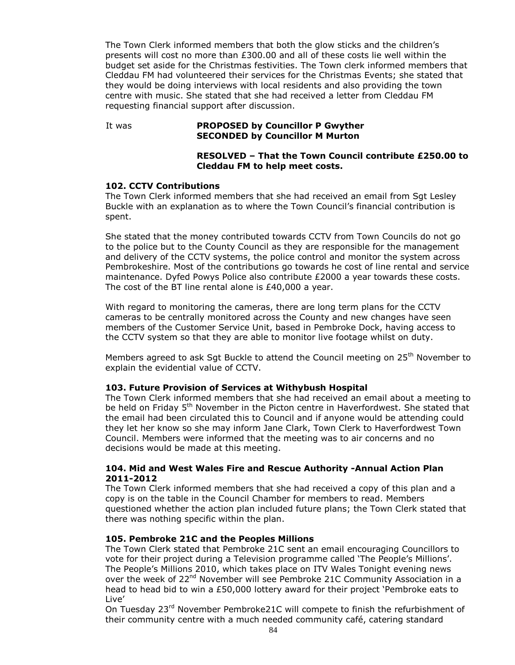The Town Clerk informed members that both the glow sticks and the children's presents will cost no more than £300.00 and all of these costs lie well within the budget set aside for the Christmas festivities. The Town clerk informed members that Cleddau FM had volunteered their services for the Christmas Events; she stated that they would be doing interviews with local residents and also providing the town centre with music. She stated that she had received a letter from Cleddau FM requesting financial support after discussion.

#### It was **PROPOSED by Councillor P Gwyther SECONDED by Councillor M Murton**

### **RESOLVED – That the Town Council contribute £250.00 to Cleddau FM to help meet costs.**

### **102. CCTV Contributions**

The Town Clerk informed members that she had received an email from Sgt Lesley Buckle with an explanation as to where the Town Council's financial contribution is spent.

She stated that the money contributed towards CCTV from Town Councils do not go to the police but to the County Council as they are responsible for the management and delivery of the CCTV systems, the police control and monitor the system across Pembrokeshire. Most of the contributions go towards he cost of line rental and service maintenance. Dyfed Powys Police also contribute £2000 a year towards these costs. The cost of the BT line rental alone is £40,000 a year.

With regard to monitoring the cameras, there are long term plans for the CCTV cameras to be centrally monitored across the County and new changes have seen members of the Customer Service Unit, based in Pembroke Dock, having access to the CCTV system so that they are able to monitor live footage whilst on duty.

Members agreed to ask Sgt Buckle to attend the Council meeting on 25<sup>th</sup> November to explain the evidential value of CCTV.

### **103. Future Provision of Services at Withybush Hospital**

The Town Clerk informed members that she had received an email about a meeting to be held on Friday 5<sup>th</sup> November in the Picton centre in Haverfordwest. She stated that the email had been circulated this to Council and if anyone would be attending could they let her know so she may inform Jane Clark, Town Clerk to Haverfordwest Town Council. Members were informed that the meeting was to air concerns and no decisions would be made at this meeting.

### **104. Mid and West Wales Fire and Rescue Authority -Annual Action Plan 2011-2012**

The Town Clerk informed members that she had received a copy of this plan and a copy is on the table in the Council Chamber for members to read. Members questioned whether the action plan included future plans; the Town Clerk stated that there was nothing specific within the plan.

### **105. Pembroke 21C and the Peoples Millions**

The Town Clerk stated that Pembroke 21C sent an email encouraging Councillors to vote for their project during a Television programme called 'The People's Millions'. The People's Millions 2010, which takes place on ITV Wales Tonight evening news over the week of 22<sup>nd</sup> November will see Pembroke 21C Community Association in a head to head bid to win a £50,000 lottery award for their project 'Pembroke eats to Live'

On Tuesday 23<sup>rd</sup> November Pembroke21C will compete to finish the refurbishment of their community centre with a much needed community café, catering standard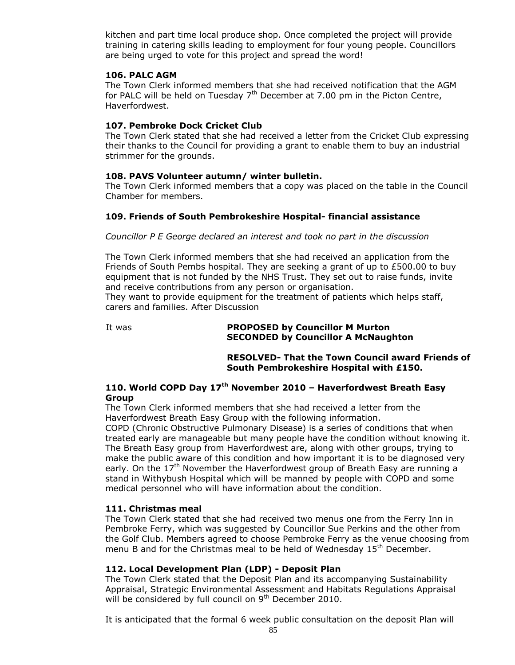kitchen and part time local produce shop. Once completed the project will provide training in catering skills leading to employment for four young people. Councillors are being urged to vote for this project and spread the word!

### **106. PALC AGM**

The Town Clerk informed members that she had received notification that the AGM for PALC will be held on Tuesday  $7<sup>th</sup>$  December at 7.00 pm in the Picton Centre, Haverfordwest.

# **107. Pembroke Dock Cricket Club**

The Town Clerk stated that she had received a letter from the Cricket Club expressing their thanks to the Council for providing a grant to enable them to buy an industrial strimmer for the grounds.

# **108. PAVS Volunteer autumn/ winter bulletin.**

The Town Clerk informed members that a copy was placed on the table in the Council Chamber for members.

# **109. Friends of South Pembrokeshire Hospital- financial assistance**

*Councillor P E George declared an interest and took no part in the discussion*

The Town Clerk informed members that she had received an application from the Friends of South Pembs hospital. They are seeking a grant of up to £500.00 to buy equipment that is not funded by the NHS Trust. They set out to raise funds, invite and receive contributions from any person or organisation.

They want to provide equipment for the treatment of patients which helps staff, carers and families. After Discussion

### It was **PROPOSED by Councillor M Murton SECONDED by Councillor A McNaughton**

**RESOLVED- That the Town Council award Friends of South Pembrokeshire Hospital with £150.**

# **110. World COPD Day 17th November 2010 – Haverfordwest Breath Easy Group**

The Town Clerk informed members that she had received a letter from the Haverfordwest Breath Easy Group with the following information.

COPD (Chronic Obstructive Pulmonary Disease) is a series of conditions that when treated early are manageable but many people have the condition without knowing it. The Breath Easy group from Haverfordwest are, along with other groups, trying to make the public aware of this condition and how important it is to be diagnosed very early. On the  $17<sup>th</sup>$  November the Haverfordwest group of Breath Easy are running a stand in Withybush Hospital which will be manned by people with COPD and some medical personnel who will have information about the condition.

### **111. Christmas meal**

The Town Clerk stated that she had received two menus one from the Ferry Inn in Pembroke Ferry, which was suggested by Councillor Sue Perkins and the other from the Golf Club. Members agreed to choose Pembroke Ferry as the venue choosing from menu B and for the Christmas meal to be held of Wednesday  $15<sup>th</sup>$  December.

# **112. Local Development Plan (LDP) - Deposit Plan**

The Town Clerk stated that the Deposit Plan and its accompanying Sustainability Appraisal, Strategic Environmental Assessment and Habitats Regulations Appraisal will be considered by full council on  $9<sup>th</sup>$  December 2010.

It is anticipated that the formal 6 week public consultation on the deposit Plan will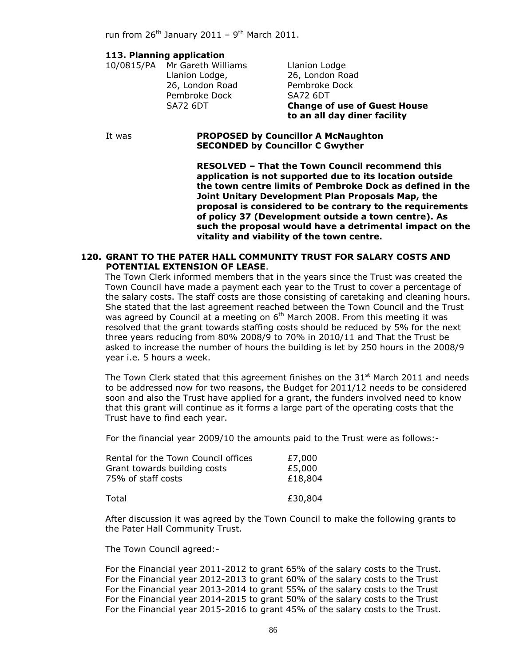run from 26<sup>th</sup> January 2011 - 9<sup>th</sup> March 2011.

#### **113. Planning application**

10/0815/PA Mr Gareth Williams Llanion Lodge Llanion Lodge, 26, London Road 26, London Road Pembroke Dock Pembroke Dock SA72 6DT

SA72 6DT **Change of use of Guest House to an all day diner facility**

#### It was **PROPOSED by Councillor A McNaughton SECONDED by Councillor C Gwyther**

**RESOLVED – That the Town Council recommend this application is not supported due to its location outside the town centre limits of Pembroke Dock as defined in the Joint Unitary Development Plan Proposals Map, the proposal is considered to be contrary to the requirements of policy 37 (Development outside a town centre). As such the proposal would have a detrimental impact on the vitality and viability of the town centre.**

#### **120. GRANT TO THE PATER HALL COMMUNITY TRUST FOR SALARY COSTS AND POTENTIAL EXTENSION OF LEASE**.

The Town Clerk informed members that in the years since the Trust was created the Town Council have made a payment each year to the Trust to cover a percentage of the salary costs. The staff costs are those consisting of caretaking and cleaning hours. She stated that the last agreement reached between the Town Council and the Trust was agreed by Council at a meeting on 6<sup>th</sup> March 2008. From this meeting it was resolved that the grant towards staffing costs should be reduced by 5% for the next three years reducing from 80% 2008/9 to 70% in 2010/11 and That the Trust be asked to increase the number of hours the building is let by 250 hours in the 2008/9 year i.e. 5 hours a week.

The Town Clerk stated that this agreement finishes on the  $31<sup>st</sup>$  March 2011 and needs to be addressed now for two reasons, the Budget for 2011/12 needs to be considered soon and also the Trust have applied for a grant, the funders involved need to know that this grant will continue as it forms a large part of the operating costs that the Trust have to find each year.

For the financial year 2009/10 the amounts paid to the Trust were as follows:-

| Rental for the Town Council offices | £7,000  |
|-------------------------------------|---------|
| Grant towards building costs        | £5,000  |
| 75% of staff costs                  | £18,804 |
| Total                               | £30,804 |

After discussion it was agreed by the Town Council to make the following grants to the Pater Hall Community Trust.

The Town Council agreed:-

For the Financial year 2011-2012 to grant 65% of the salary costs to the Trust. For the Financial year 2012-2013 to grant 60% of the salary costs to the Trust For the Financial year 2013-2014 to grant 55% of the salary costs to the Trust For the Financial year 2014-2015 to grant 50% of the salary costs to the Trust For the Financial year 2015-2016 to grant 45% of the salary costs to the Trust.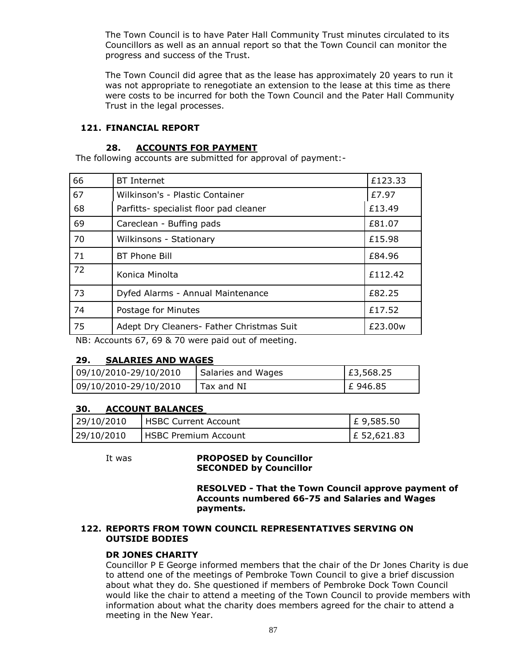The Town Council is to have Pater Hall Community Trust minutes circulated to its Councillors as well as an annual report so that the Town Council can monitor the progress and success of the Trust.

The Town Council did agree that as the lease has approximately 20 years to run it was not appropriate to renegotiate an extension to the lease at this time as there were costs to be incurred for both the Town Council and the Pater Hall Community Trust in the legal processes.

### **121. FINANCIAL REPORT**

#### **28. ACCOUNTS FOR PAYMENT**

The following accounts are submitted for approval of payment:-

| 66 | <b>BT</b> Internet                        | £123.33 |
|----|-------------------------------------------|---------|
| 67 | Wilkinson's - Plastic Container           | £7.97   |
| 68 | Parfitts- specialist floor pad cleaner    | £13.49  |
| 69 | Careclean - Buffing pads                  | £81.07  |
| 70 | Wilkinsons - Stationary                   | £15.98  |
| 71 | <b>BT Phone Bill</b>                      | £84.96  |
| 72 | Konica Minolta                            | £112.42 |
| 73 | Dyfed Alarms - Annual Maintenance         | £82.25  |
| 74 | Postage for Minutes                       | £17.52  |
| 75 | Adept Dry Cleaners- Father Christmas Suit | £23.00w |

NB: Accounts 67, 69 & 70 were paid out of meeting.

# **29. SALARIES AND WAGES**

| 09/10/2010-29/10/2010 | Salaries and Wages | £3,568.25 |
|-----------------------|--------------------|-----------|
| 09/10/2010-29/10/2010 | Tax and NI         | E 946.85  |

### **30. ACCOUNT BALANCES**

| 29/10/2010 | <b>I HSBC Current Account</b> | $E$ 9,585.50  |
|------------|-------------------------------|---------------|
| 29/10/2010 | <b>IHSBC Premium Account</b>  | $E$ 52,621.83 |

#### It was **PROPOSED by Councillor SECONDED by Councillor**

**RESOLVED - That the Town Council approve payment of Accounts numbered 66-75 and Salaries and Wages payments.**

### **122. REPORTS FROM TOWN COUNCIL REPRESENTATIVES SERVING ON OUTSIDE BODIES**

### **DR JONES CHARITY**

Councillor P E George informed members that the chair of the Dr Jones Charity is due to attend one of the meetings of Pembroke Town Council to give a brief discussion about what they do. She questioned if members of Pembroke Dock Town Council would like the chair to attend a meeting of the Town Council to provide members with information about what the charity does members agreed for the chair to attend a meeting in the New Year.